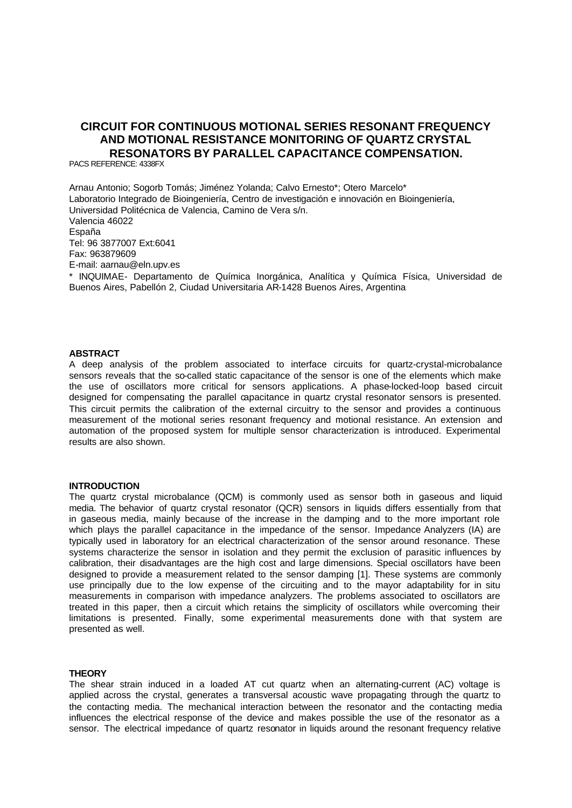# **CIRCUIT FOR CONTINUOUS MOTIONAL SERIES RESONANT FREQUENCY AND MOTIONAL RESISTANCE MONITORING OF QUARTZ CRYSTAL RESONATORS BY PARALLEL CAPACITANCE COMPENSATION.**

PACS REFERENCE: 4338FX

Arnau Antonio; Sogorb Tomás; Jiménez Yolanda; Calvo Ernesto\*; Otero Marcelo\* Laboratorio Integrado de Bioingeniería, Centro de investigación e innovación en Bioingeniería, Universidad Politécnica de Valencia, Camino de Vera s/n. Valencia 46022 España Tel: 96 3877007 Ext:6041 Fax: 963879609 E-mail: aarnau@eln.upv.es \* INQUIMAE- Departamento de Química Inorgánica, Analítica y Química Física, Universidad de Buenos Aires, Pabellón 2, Ciudad Universitaria AR-1428 Buenos Aires, Argentina

# **ABSTRACT**

A deep analysis of the problem associated to interface circuits for quartz-crystal-microbalance sensors reveals that the so-called static capacitance of the sensor is one of the elements which make the use of oscillators more critical for sensors applications. A phase-locked-loop based circuit designed for compensating the parallel capacitance in quartz crystal resonator sensors is presented. This circuit permits the calibration of the external circuitry to the sensor and provides a continuous measurement of the motional series resonant frequency and motional resistance. An extension and automation of the proposed system for multiple sensor characterization is introduced. Experimental results are also shown.

#### **INTRODUCTION**

The quartz crystal microbalance (QCM) is commonly used as sensor both in gaseous and liquid media. The behavior of quartz crystal resonator (QCR) sensors in liquids differs essentially from that in gaseous media, mainly because of the increase in the damping and to the more important role which plays the parallel capacitance in the impedance of the sensor. Impedance Analyzers (IA) are typically used in laboratory for an electrical characterization of the sensor around resonance. These systems characterize the sensor in isolation and they permit the exclusion of parasitic influences by calibration, their disadvantages are the high cost and large dimensions. Special oscillators have been designed to provide a measurement related to the sensor damping [1]. These systems are commonly use principally due to the low expense of the circuiting and to the mayor adaptability for in situ measurements in comparison with impedance analyzers. The problems associated to oscillators are treated in this paper, then a circuit which retains the simplicity of oscillators while overcoming their limitations is presented. Finally, some experimental measurements done with that system are presented as well.

#### **THEORY**

The shear strain induced in a loaded AT cut quartz when an alternating-current (AC) voltage is applied across the crystal, generates a transversal acoustic wave propagating through the quartz to the contacting media. The mechanical interaction between the resonator and the contacting media influences the electrical response of the device and makes possible the use of the resonator as a sensor. The electrical impedance of quartz resonator in liquids around the resonant frequency relative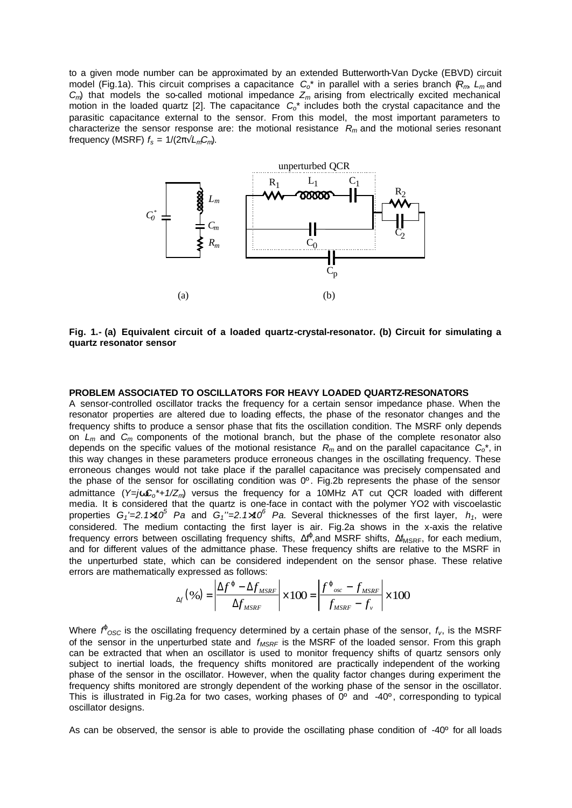to a given mode number can be approximated by an extended Butterworth-Van Dycke (EBVD) circuit model (Fig.1a). This circuit comprises a capacitance *Co*\* in parallel with a series branch (*Rm*, *Lm* and  $C_m$ ) that models the so-called motional impedance  $Z_m$  arising from electrically excited mechanical motion in the loaded quartz [2]. The capacitance *Co*\* includes both the crystal capacitance and the parasitic capacitance external to the sensor. From this model, the most important parameters to characterize the sensor response are: the motional resistance *Rm* and the motional series resonant frequency (MSRF)  $f_s = 1/(2\pi\sqrt{L_mC_m})$ .



**Fig. 1.- (a) Equivalent circuit of a loaded quartz-crystal-resonator. (b) Circuit for simulating a quartz resonator sensor**

### **PROBLEM ASSOCIATED TO OSCILLATORS FOR HEAVY LOADED QUARTZ-RESONATORS**

A sensor-controlled oscillator tracks the frequency for a certain sensor impedance phase. When the resonator properties are altered due to loading effects, the phase of the resonator changes and the frequency shifts to produce a sensor phase that fits the oscillation condition. The MSRF only depends on *Lm* and *Cm* components of the motional branch, but the phase of the complete resonator also depends on the specific values of the motional resistance *Rm* and on the parallel capacitance *Co*\*, in this way changes in these parameters produce erroneous changes in the oscillating frequency. These erroneous changes would not take place if the parallel capacitance was precisely compensated and the phase of the sensor for oscillating condition was 0º. Fig.2b represents the phase of the sensor admittance (*Y=jwCo\*+1/Zm*) versus the frequency for a 10MHz AT cut QCR loaded with different media. It is considered that the quartz is one-face in contact with the polymer YO2 with viscoelastic properties *G1'=2.1´10<sup>5</sup> Pa* and *G1''=2.1´10<sup>6</sup> Pa*. Several thicknesses of the first layer, *h1*, were considered. The medium contacting the first layer is air. Fig.2a shows in the x-axis the relative frequency errors between oscillating frequency shifts,  $\Delta f^{\rho}$ , and MSRF shifts,  $\Delta f_{MSRF}$ , for each medium, and for different values of the admittance phase. These frequency shifts are relative to the MSRF in the unperturbed state, which can be considered independent on the sensor phase. These relative errors are mathematically expressed as follows:

$$
_{\Delta f}(\%)=\left|\frac{\Delta f^{j}-\Delta f_{MSRF}}{\Delta f_{MSRF}}\right|\times100=\left|\frac{f^{j}_{osc}-f_{MSRF}}{f_{MSRF}-f_{\nu}}\right|\times100
$$

Where  $\vec{r}_{\rm OSC}$  is the oscillating frequency determined by a certain phase of the sensor,  $f_{\rm v}$ , is the MSRF of the sensor in the unperturbed state and *fMSRF* is the MSRF of the loaded sensor. From this graph can be extracted that when an oscillator is used to monitor frequency shifts of quartz sensors only subject to inertial loads, the frequency shifts monitored are practically independent of the working phase of the sensor in the oscillator. However, when the quality factor changes during experiment the frequency shifts monitored are strongly dependent of the working phase of the sensor in the oscillator. This is illustrated in Fig.2a for two cases, working phases of  $0^{\circ}$  and -40°, corresponding to typical oscillator designs.

As can be observed, the sensor is able to provide the oscillating phase condition of -40° for all loads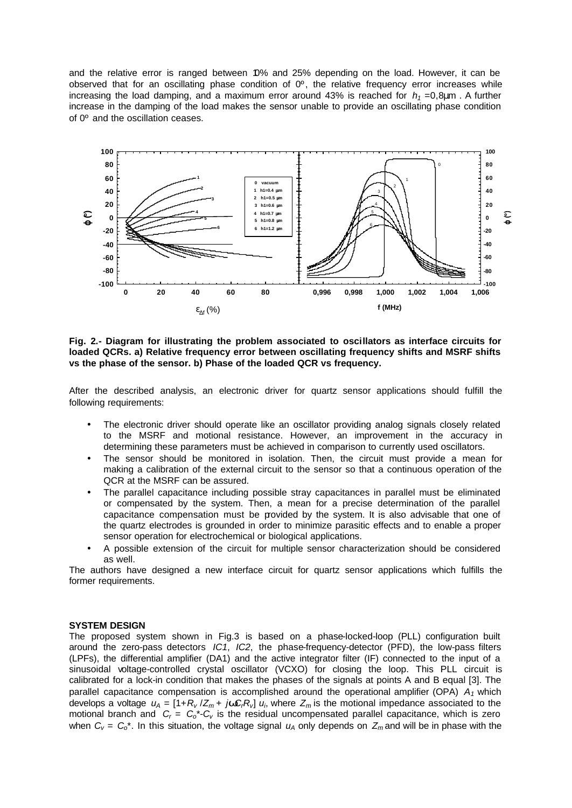and the relative error is ranged between 10% and 25% depending on the load. However, it can be observed that for an oscillating phase condition of  $0^\circ$ , the relative frequency error increases while increasing the load damping, and a maximum error around 43% is reached for  $h_1 = 0.8 \mu m$ . A further increase in the damping of the load makes the sensor unable to provide an oscillating phase condition of 0º and the oscillation ceases.



**Fig. 2.- Diagram for illustrating the problem associated to oscillators as interface circuits for loaded QCRs. a) Relative frequency error between oscillating frequency shifts and MSRF shifts vs the phase of the sensor. b) Phase of the loaded QCR vs frequency.**

After the described analysis, an electronic driver for quartz sensor applications should fulfill the following requirements:

- The electronic driver should operate like an oscillator providing analog signals closely related to the MSRF and motional resistance. However, an improvement in the accuracy in determining these parameters must be achieved in comparison to currently used oscillators.
- The sensor should be monitored in isolation. Then, the circuit must provide a mean for making a calibration of the external circuit to the sensor so that a continuous operation of the QCR at the MSRF can be assured.
- The parallel capacitance including possible stray capacitances in parallel must be eliminated or compensated by the system. Then, a mean for a precise determination of the parallel capacitance compensation must be provided by the system. It is also advisable that one of the quartz electrodes is grounded in order to minimize parasitic effects and to enable a proper sensor operation for electrochemical or biological applications.
- A possible extension of the circuit for multiple sensor characterization should be considered as well.

The authors have designed a new interface circuit for quartz sensor applications which fulfills the former requirements.

## **SYSTEM DESIGN**

The proposed system shown in Fig.3 is based on a phase-locked-loop (PLL) configuration built around the zero-pass detectors *IC1*, *IC2*, the phase-frequency-detector (PFD), the low-pass filters (LPFs), the differential amplifier (DA1) and the active integrator filter (IF) connected to the input of a sinusoidal voltage-controlled crystal oscillator (VCXO) for closing the loop. This PLL circuit is calibrated for a lock-in condition that makes the phases of the signals at points A and B equal [3]. The parallel capacitance compensation is accomplished around the operational amplifier (OPA) *A1* which develops a voltage  $u_A = [1 + R_v / Z_m + jwC_r R_v]$   $u_i$ , where  $Z_m$  is the motional impedance associated to the motional branch and *C<sup>r</sup>* = *Co*\*-*Cv* is the residual uncompensated parallel capacitance, which is zero when  $C_v = C_0^*$ . In this situation, the voltage signal  $u_A$  only depends on  $Z_m$  and will be in phase with the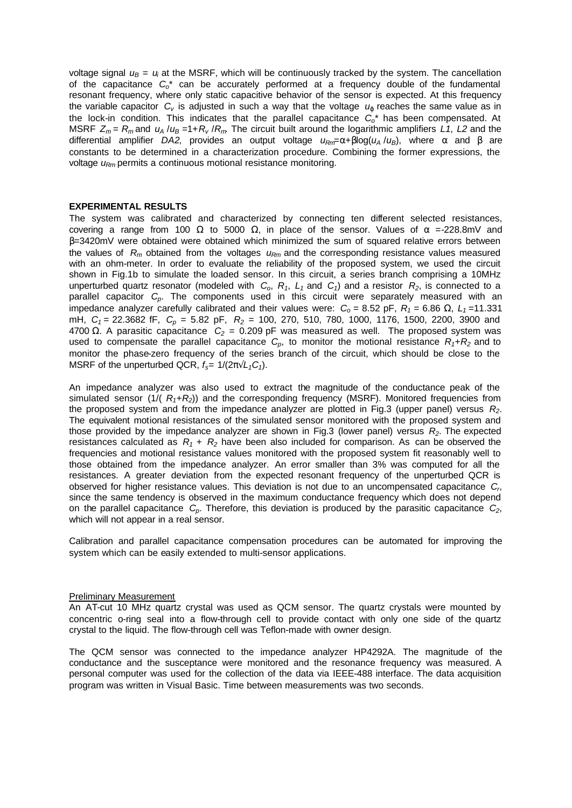voltage signal  $u_B = u_i$  at the MSRF, which will be continuously tracked by the system. The cancellation of the capacitance *Co*\* can be accurately performed at a frequency double of the fundamental resonant frequency, where only static capacitive behavior of the sensor is expected. At this frequency the variable capacitor *Cv* is adjusted in such a way that the voltage *uj* reaches the same value as in the lock-in condition. This indicates that the parallel capacitance *Co*\* has been compensated. At MSRF *Z<sup>m</sup>* = *Rm* and *u<sup>A</sup>* /*u<sup>B</sup>* =1+*R<sup>v</sup>* /*Rm*. The circuit built around the logarithmic amplifiers *L1*, *L2* and the differential amplifier *DA2*, provides an output voltage *uRm*=α+βlog(*u<sup>A</sup>* /*uB*), where α and β are constants to be determined in a characterization procedure. Combining the former expressions, the voltage *uRm* permits a continuous motional resistance monitoring.

## **EXPERIMENTAL RESULTS**

The system was calibrated and characterized by connecting ten different selected resistances, covering a range from 100 Ω to 5000 Ω, in place of the sensor. Values of  $\alpha$  =-228.8mV and β=3420mV were obtained were obtained which minimized the sum of squared relative errors between the values of *Rm* obtained from the voltages *uRm* and the corresponding resistance values measured with an ohm-meter. In order to evaluate the reliability of the proposed system, we used the circuit shown in Fig.1b to simulate the loaded sensor. In this circuit, a series branch comprising a 10MHz unperturbed quartz resonator (modeled with  $C_0$ ,  $R_1$ ,  $L_1$  and  $C_1$ ) and a resistor  $R_2$ , is connected to a parallel capacitor *Cp*. The components used in this circuit were separately measured with an impedance analyzer carefully calibrated and their values were:  $C_0 = 8.52$  pF,  $R_1 = 6.86$  Ω,  $L_1 = 11.331$ mH, *C<sup>1</sup>* = 22.3682 fF, *Cp* = 5.82 pF, *R2* = 100, 270, 510, 780, 1000, 1176, 1500, 2200, 3900 and 4700  $\Omega$ . A parasitic capacitance  $C_2 = 0.209$  pF was measured as well. The proposed system was used to compensate the parallel capacitance  $C_p$ , to monitor the motional resistance  $R_1 + R_2$  and to monitor the phase-zero frequency of the series branch of the circuit, which should be close to the MSRF of the unperturbed QCR,  $f_s = 1/(2\pi\sqrt{L_1C_1})$ .

An impedance analyzer was also used to extract the magnitude of the conductance peak of the simulated sensor (1/( *R1+R2*)) and the corresponding frequency (MSRF). Monitored frequencies from the proposed system and from the impedance analyzer are plotted in Fig.3 (upper panel) versus *R2*. The equivalent motional resistances of the simulated sensor monitored with the proposed system and those provided by the impedance analyzer are shown in Fig.3 (lower panel) versus *R2*. The expected resistances calculated as  $R_1 + R_2$  have been also included for comparison. As can be observed the frequencies and motional resistance values monitored with the proposed system fit reasonably well to those obtained from the impedance analyzer. An error smaller than 3% was computed for all the resistances. A greater deviation from the expected resonant frequency of the unperturbed QCR is observed for higher resistance values. This deviation is not due to an uncompensated capacitance *C<sup>r</sup>* , since the same tendency is observed in the maximum conductance frequency which does not depend on the parallel capacitance *Cp*. Therefore, this deviation is produced by the parasitic capacitance *C2*, which will not appear in a real sensor.

Calibration and parallel capacitance compensation procedures can be automated for improving the system which can be easily extended to multi-sensor applications.

### Preliminary Measurement

An AT-cut 10 MHz quartz crystal was used as QCM sensor. The quartz crystals were mounted by concentric o-ring seal into a flow-through cell to provide contact with only one side of the quartz crystal to the liquid. The flow-through cell was Teflon-made with owner design.

The QCM sensor was connected to the impedance analyzer HP4292A. The magnitude of the conductance and the susceptance were monitored and the resonance frequency was measured. A personal computer was used for the collection of the data via IEEE-488 interface. The data acquisition program was written in Visual Basic. Time between measurements was two seconds.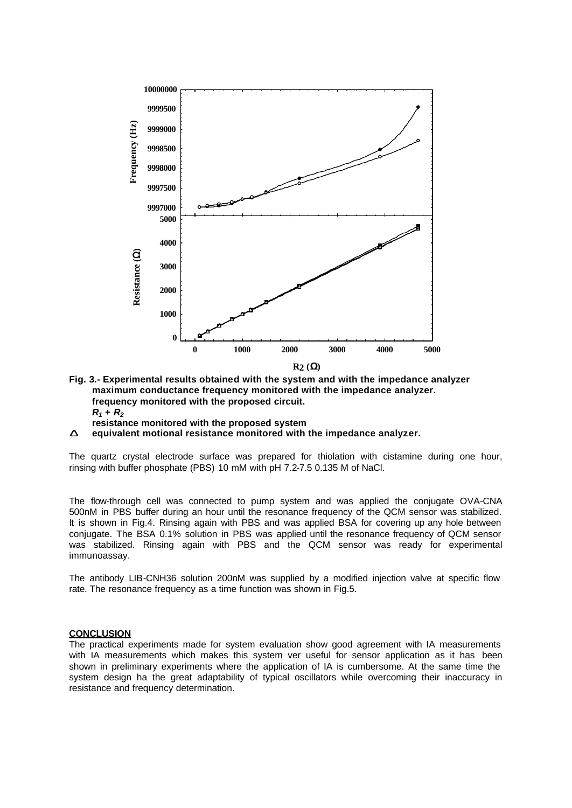

- **Fig. 3.- Experimental results obtained with the system and with the impedance analyzer maximum conductance frequency monitored with the impedance analyzer. frequency monitored with the proposed circuit.**  $R_1 + R_2$ **resistance monitored with the proposed system**
- **Í equivalent motional resistance monitored with the impedance analyzer.**

The quartz crystal electrode surface was prepared for thiolation with cistamine during one hour, rinsing with buffer phosphate (PBS) 10 mM with pH 7.2-7.5 0.135 M of NaCl.

The flow-through cell was connected to pump system and was applied the conjugate OVA-CNA 500nM in PBS buffer during an hour until the resonance frequency of the QCM sensor was stabilized. It is shown in Fig.4. Rinsing again with PBS and was applied BSA for covering up any hole between conjugate. The BSA 0.1% solution in PBS was applied until the resonance frequency of QCM sensor was stabilized. Rinsing again with PBS and the QCM sensor was ready for experimental immunoassay.

The antibody LIB-CNH36 solution 200nM was supplied by a modified injection valve at specific flow rate. The resonance frequency as a time function was shown in Fig.5.

# **CONCLUSION**

The practical experiments made for system evaluation show good agreement with IA measurements with IA measurements which makes this system ver useful for sensor application as it has been shown in preliminary experiments where the application of IA is cumbersome. At the same time the system design ha the great adaptability of typical oscillators while overcoming their inaccuracy in resistance and frequency determination.